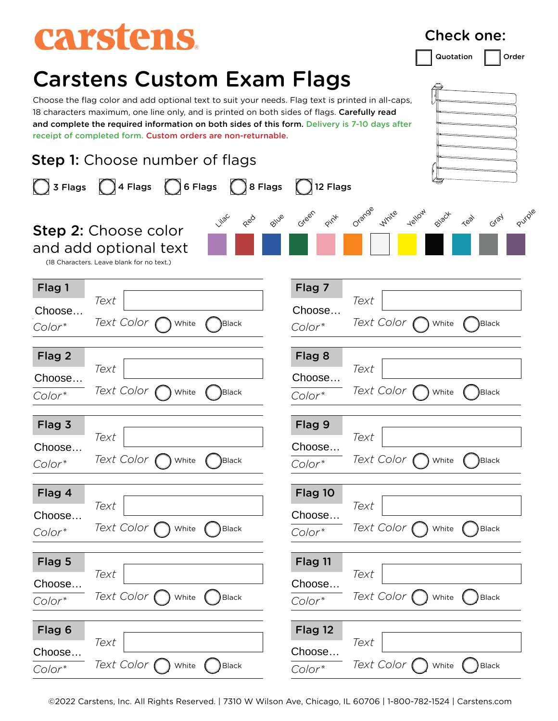# carstens.

### Carstens Custom Exam Flags

18 characters maximum, one line only, and is printed on both sides of flags. Carefully read and complete the required information on both sides of this form. Delivery is 7-10 days after receipt of completed form. Custom orders are non-returnable.

| <b>Step 1:</b> Choose number of flags |                                                                                                   |                               |                               |                                                                     |  |  |
|---------------------------------------|---------------------------------------------------------------------------------------------------|-------------------------------|-------------------------------|---------------------------------------------------------------------|--|--|
| 3 Flags                               | $\bigcirc$ 6 Flags<br>$\bigcup$ 4 Flags                                                           | $\bigcirc$ 8 Flags            | 12 Flags                      |                                                                     |  |  |
|                                       | <b>Step 2: Choose color</b><br>and add optional text<br>(18 Characters. Leave blank for no text.) | <b>Villa</b> C<br>Blue<br>Red | Green<br>Pint                 | Orange<br><b>Telloy</b><br>Purple<br>White<br>Black<br>Gray<br>Test |  |  |
| Flag 1<br>Choose<br>$Color*$          | Text<br><i>Text Color</i><br>White                                                                | <b>Black</b>                  | Flag 7<br>Choose<br>Color*    | Text<br>Text Color<br>Black)<br>White                               |  |  |
| Flag 2<br>Choose<br>$Color*$          | Text<br><i>Text Color</i><br>White                                                                | Black)                        | Flag 8<br>Choose<br>Color*    | Text<br>Text Color<br>Black<br>White                                |  |  |
| Flag 3<br>Choose<br>$Color*$          | Text<br><i>Text Color</i><br>White                                                                | Black                         | Flag 9<br>Choose<br>Color*    | Text<br>Text Color<br>White<br>Black)                               |  |  |
| Flag 4<br>Choose<br>$Color*$          | Text<br><i>Text Color</i><br>White                                                                | <b>Black</b>                  | Flag 10<br>Choose<br>Color*   | Text<br><i>Text Color</i><br><b>Black</b><br>White                  |  |  |
| Flag 5<br>Choose<br>Color*            | Text<br>Text Color (<br>White                                                                     | <b>Black</b>                  | Flag 11<br>Choose<br>Color*   | Text<br>Text Color (<br>White<br>Black                              |  |  |
| Flag 6<br>Choose<br>$Color*$          | Text<br>Text Color<br>White                                                                       | <b>Black</b>                  | Flag 12<br>Choose<br>$Color*$ | Text<br>Text Color<br>Black<br>White                                |  |  |

Choose the flag color and add optional text to suit your needs. Flag text is printed in all-caps,

©2022 Carstens, Inc. All Rights Reserved. | 7310 W Wilson Ave, Chicago, IL 60706 | 1-800-782-1524 | Carstens.com

Quotation | Order

Check one: